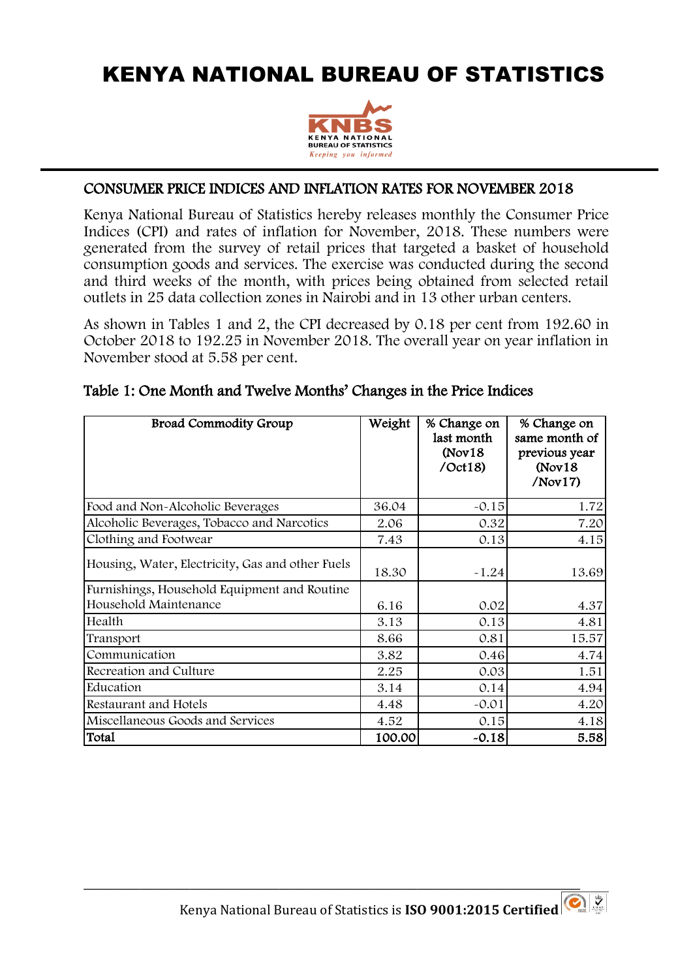## KENYA NATIONAL BUREAU OF STATISTICS



## CONSUMER PRICE INDICES AND INFLATION RATES FOR NOVEMBER 2018

 $\overline{a}$ 

Kenya National Bureau of Statistics hereby releases monthly the Consumer Price Indices (CPI) and rates of inflation for November, 2018. These numbers were generated from the survey of retail prices that targeted a basket of household consumption goods and services. The exercise was conducted during the second and third weeks of the month, with prices being obtained from selected retail outlets in 25 data collection zones in Nairobi and in 13 other urban centers.

As shown in Tables 1 and 2, the CPI decreased by 0.18 per cent from 192.60 in October 2018 to 192.25 in November 2018. The overall year on year inflation in November stood at 5.58 per cent.

| <b>Broad Commodity Group</b>                                          | Weight | % Change on<br>last month<br>(Nov18)<br>$\sqrt{Oct18}$ | % Change on<br>same month of<br>previous year<br>(Nov18)<br>/Nov17 |
|-----------------------------------------------------------------------|--------|--------------------------------------------------------|--------------------------------------------------------------------|
| Food and Non-Alcoholic Beverages                                      | 36.04  | $-0.15$                                                | 1.72                                                               |
| Alcoholic Beverages, Tobacco and Narcotics                            | 2.06   | 0.32                                                   | 7.20                                                               |
| Clothing and Footwear                                                 | 7.43   | 0.13                                                   | 4.15                                                               |
| Housing, Water, Electricity, Gas and other Fuels                      | 18.30  | $-1.24$                                                | 13.69                                                              |
| Furnishings, Household Equipment and Routine<br>Household Maintenance | 6.16   | 0.02                                                   | 4.37                                                               |
| Health                                                                | 3.13   | 0.13                                                   | 4.81                                                               |
| Transport                                                             | 8.66   | 0.81                                                   | 15.57                                                              |
| Communication                                                         | 3.82   | 0.46                                                   | 4.74                                                               |
| Recreation and Culture                                                | 2.25   | 0.03                                                   | 1.51                                                               |
| Education                                                             | 3.14   | 0.14                                                   | 4.94                                                               |
| Restaurant and Hotels                                                 | 4.48   | $-0.01$                                                | 4.20                                                               |
| Miscellaneous Goods and Services                                      | 4.52   | 0.15                                                   | 4.18                                                               |
| Total                                                                 | 100.00 | $-0.18$                                                | 5.58                                                               |

## Table 1: One Month and Twelve Months' Changes in the Price Indices

\_\_\_\_\_\_\_\_\_\_\_\_\_\_\_\_\_\_\_\_\_\_\_\_\_\_\_\_\_\_\_\_\_\_\_\_\_\_\_\_\_\_\_\_\_\_\_\_\_\_\_\_\_\_\_\_\_\_\_\_\_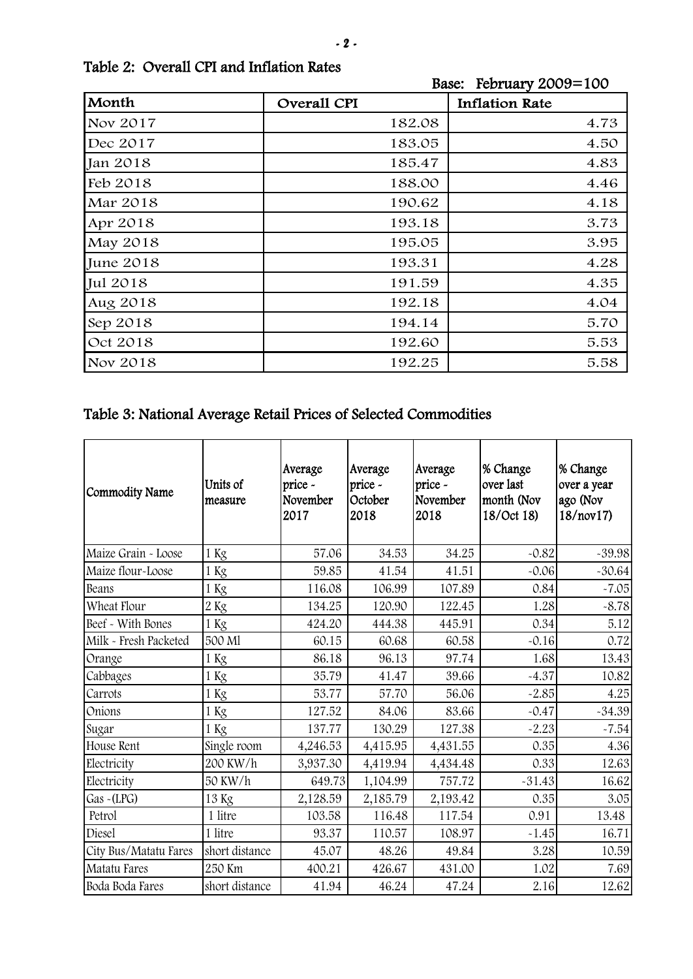|           | $\Delta$ Dasc. Tc $\Delta$ Tuary $\Delta$ UU $\Delta$ –TUU |                       |
|-----------|------------------------------------------------------------|-----------------------|
| Month     | Overall CPI                                                | <b>Inflation Rate</b> |
| Nov 2017  | 182.08                                                     | 4.73                  |
| Dec 2017  | 183.05                                                     | 4.50                  |
| Jan 2018  | 185.47                                                     | 4.83                  |
| Feb 2018  | 188.00                                                     | 4.46                  |
| Mar 2018  | 190.62                                                     | 4.18                  |
| Apr 2018  | 193.18                                                     | 3.73                  |
| May 2018  | 195.05                                                     | 3.95                  |
| June 2018 | 193.31                                                     | 4.28                  |
| Jul 2018  | 191.59                                                     | 4.35                  |
| Aug 2018  | 192.18                                                     | 4.04                  |
| Sep 2018  | 194.14                                                     | 5.70                  |
| Oct 2018  | 192.60                                                     | 5.53                  |
| Nov 2018  | 192.25                                                     | 5.58                  |

Base: February 2009=100

## Table 3: National Average Retail Prices of Selected Commodities

| Commodity Name        | Units of<br>measure | Average<br>price -<br>November<br>2017 | Average<br>price -<br>October<br>2018 | Average<br>price -<br>November<br>2018 | % Change<br>over last<br>month (Nov<br>18/Oct 18) | % Change<br>over a year<br>ago (Nov<br>18/nov17) |
|-----------------------|---------------------|----------------------------------------|---------------------------------------|----------------------------------------|---------------------------------------------------|--------------------------------------------------|
| Maize Grain - Loose   | 1 Kg                | 57.06                                  | 34.53                                 | 34.25                                  | $-0.82$                                           | $-39.98$                                         |
| Maize flour-Loose     | 1 Kg                | 59.85                                  | 41.54                                 | 41.51                                  | $-0.06$                                           | $-30.64$                                         |
| Beans                 | 1 Kg                | 116.08                                 | 106.99                                | 107.89                                 | 0.84                                              | $-7.05$                                          |
| Wheat Flour           | 2Kg                 | 134.25                                 | 120.90                                | 122.45                                 | 1.28                                              | $-8.78$                                          |
| Beef - With Bones     | 1 Kg                | 424.20                                 | 444.38                                | 445.91                                 | 0.34                                              | 5.12                                             |
| Milk - Fresh Packeted | 500 Ml              | 60.15                                  | 60.68                                 | 60.58                                  | $-0.16$                                           | 0.72                                             |
| Orange                | 1 Kg                | 86.18                                  | 96.13                                 | 97.74                                  | 1.68                                              | 13.43                                            |
| Cabbages              | 1 Kg                | 35.79                                  | 41.47                                 | 39.66                                  | $-4.37$                                           | 10.82                                            |
| Carrots               | 1 Kg                | 53.77                                  | 57.70                                 | 56.06                                  | $-2.85$                                           | 4.25                                             |
| Onions                | 1 Kg                | 127.52                                 | 84.06                                 | 83.66                                  | $-0.47$                                           | $-34.39$                                         |
| Sugar                 | 1 Kg                | 137.77                                 | 130.29                                | 127.38                                 | $-2.23$                                           | $-7.54$                                          |
| House Rent            | Single room         | 4,246.53                               | 4,415.95                              | 4,431.55                               | 0.35                                              | 4.36                                             |
| Electricity           | 200 KW/h            | 3,937.30                               | 4,419.94                              | 4,434.48                               | 0.33                                              | 12.63                                            |
| Electricity           | 50 KW/h             | 649.73                                 | 1,104.99                              | 757.72                                 | $-31.43$                                          | 16.62                                            |
| Gas ~ (LPG)           | 13 Kg               | 2,128.59                               | 2,185.79                              | 2,193.42                               | 0.35                                              | 3.05                                             |
| Petrol                | 1 litre             | 103.58                                 | 116.48                                | 117.54                                 | 0.91                                              | 13.48                                            |
| Diesel                | 1 litre             | 93.37                                  | 110.57                                | 108.97                                 | $-1.45$                                           | 16.71                                            |
| City Bus/Matatu Fares | short distance      | 45.07                                  | 48.26                                 | 49.84                                  | 3.28                                              | 10.59                                            |
| <b>Matatu Fares</b>   | 250 Km              | 400.21                                 | 426.67                                | 431.00                                 | 1.02                                              | 7.69                                             |
| Boda Boda Fares       | short distance      | 41.94                                  | 46.24                                 | 47.24                                  | 2.16                                              | 12.62                                            |